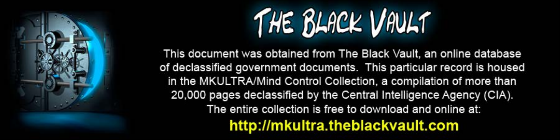

This document was obtained from The Black Vault, an online database of declassified government documents. This particular record is housed in the MKULTRA/Mind Control Collection, a compilation of more than 20,000 pages declassified by the Central Intelligence Agency (CIA). The entire collection is free to download and online at: http://mkultra.theblackvault.com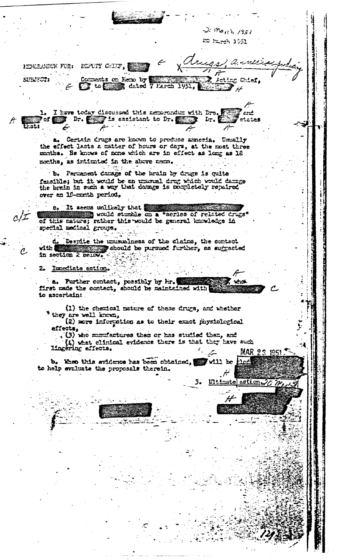$\Im$  march 1951 20 March 1951

anne

**ELCC** 

astion

 $5 -$ 

Ultimatel

NEWRANDUR FOR: DEPUTY CHIF,

SUBJECT:

Coments on Reno by **Election** Acting Chief, 1951. عنرهمست

1. I have today discussed this necorondum with Drs. enc 1. etates وال ال

Certain drugs are known to produce amneeia. Usually a. the effect lasts a matter of hours or days, at the most three maths. He knows of none which are in effect as long as 18 months, as intimated in the above neme.

b. Persenent dansge of the brain by drugs is quite feasible; but it would be an unusual drug which would damage the brain in such a way that damage is nompletely repaired over an 16-month period,

It seems unlikely that ė. would stundle on a "series of related drugs" of this nature; rather this would be general knowledge in special medical groups.

Despite the unusualness of the claims, the contect ₫. should be pursued further, as subrested with **and** in section 2 Delow.

Imediate action.

a. Further contact, possibly by Hr. Tirst made the contact, should be maintained with ່າກວ່ to ascortain:

(1) the chemical nature of these drugs, and whether \* they are well known,

(2) nore information as to their exact physiological effects,

(3) who manufactures them or has studied them, and  $(4)$  what clinical evidence there is that they have such lingering effects. ستي. الم MAR 23 1951

b. When this svidence has been obtained, will be to help evaluate the proposals therein. ہلر